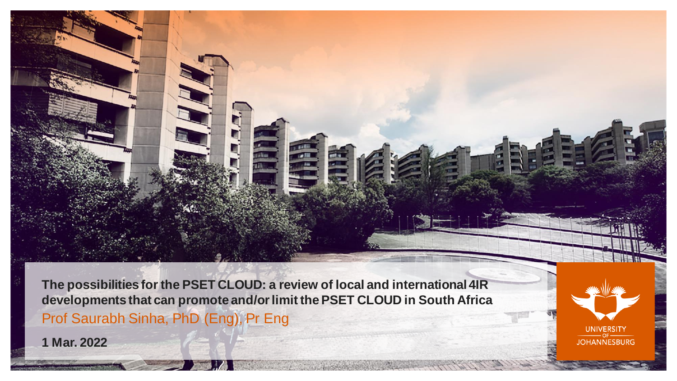**The possibilities for the PSET CLOUD: a review of local and international 4IR developments that can promote and/or limit the PSET CLOUD in South Africa** Prof Saurabh Sinha, PhD (Eng), Pr Eng

**1 Mar. 2022**

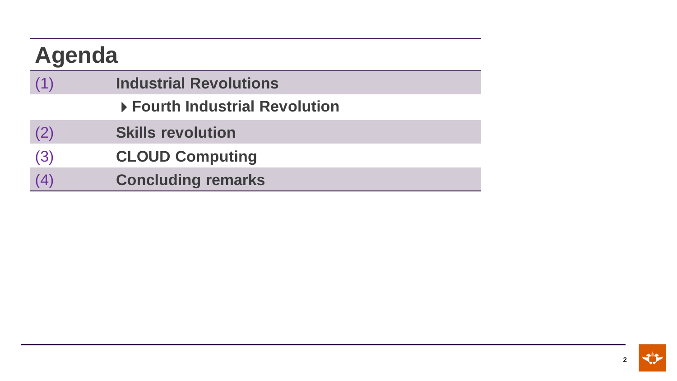| <b>Agenda</b> |                                |
|---------------|--------------------------------|
| (1)           | <b>Industrial Revolutions</b>  |
|               | ▶ Fourth Industrial Revolution |
| (2)           | <b>Skills revolution</b>       |
| (3)           | <b>CLOUD Computing</b>         |
| (4)           | <b>Concluding remarks</b>      |

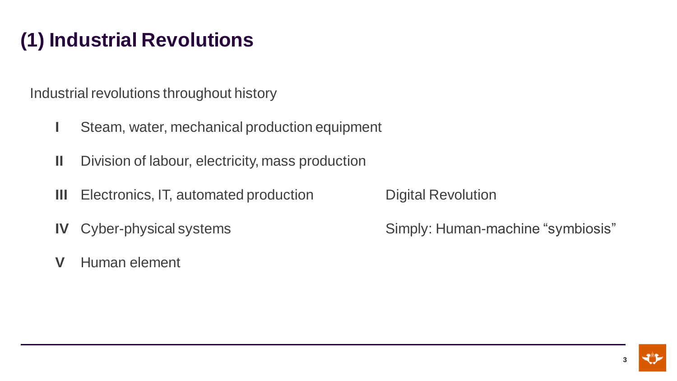# **(1) Industrial Revolutions**

Industrial revolutions throughout history

- **I** Steam, water, mechanical production equipment
- **II** Division of labour, electricity, mass production
- **III** Electronics, IT, automated production Digital Revolution
- 
- **V** Human element

**IV** Cyber-physical systems Simply: Human-machine "symbiosis"

**3**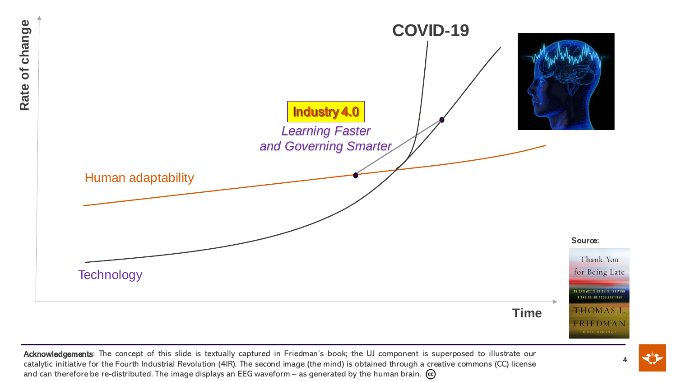

Acknowledgements: The concept of this slide is textually captured in Friedman's book; the UJ component is superposed to illustrate our catalytic initiative for the Fourth Industrial Revolution (4IR). The second image (the mind) is obtained through a creative commons (CC) license and can therefore be re-distributed. The image displays an EEG waveform – as generated by the human brain.  $\omega$ 

**4**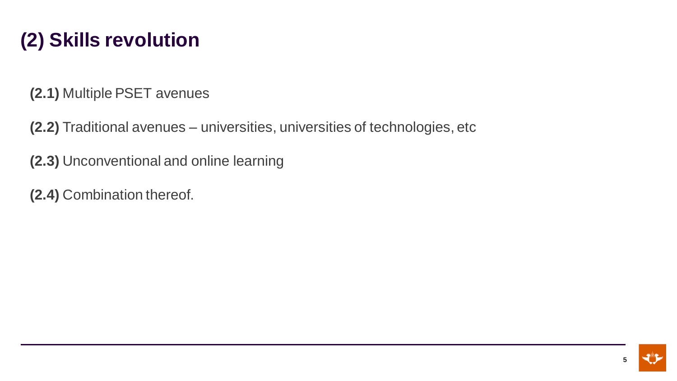# **(2) Skills revolution**

**(2.1)** Multiple PSET avenues

**(2.2)** Traditional avenues – universities, universities of technologies, etc

**(2.3)** Unconventional and online learning

**(2.4)** Combination thereof.

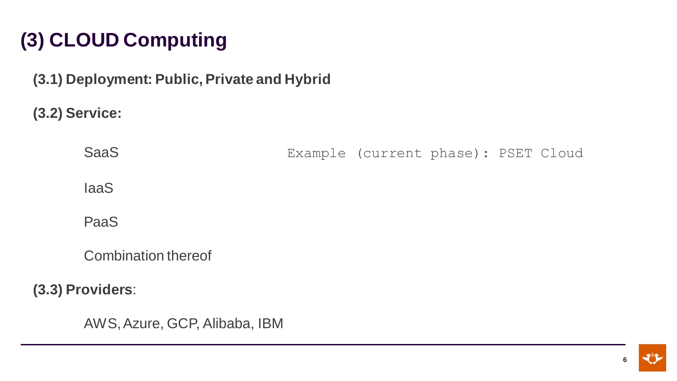# **(3) CLOUD Computing**

**(3.1) Deployment: Public, Private and Hybrid**

**(3.2) Service:** 

SaaS Example (current phase): PSET Cloud

IaaS

PaaS

Combination thereof

**(3.3) Providers**:

AWS, Azure, GCP, Alibaba, IBM

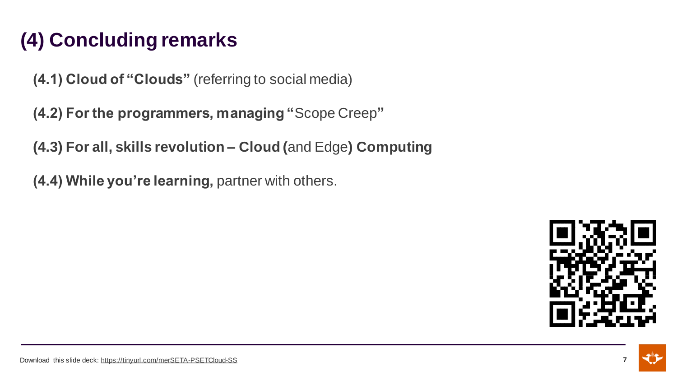# **(4) Concluding remarks**

**(4.1) Cloud of "Clouds"** (referring to social media)

**(4.2) For the programmers, managing "**Scope Creep**"**

**(4.3) For all, skills revolution – Cloud (**and Edge**) Computing** 

**(4.4) While you're learning,** partner with others.